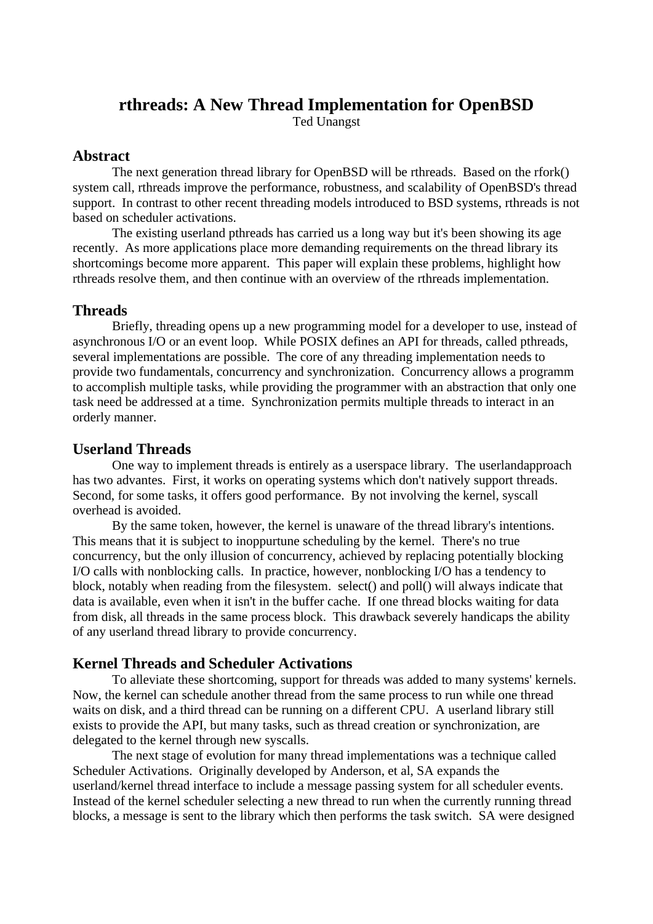# **rthreads: A New Thread Implementation for OpenBSD**

Ted Unangst

#### **Abstract**

The next generation thread library for OpenBSD will be rthreads. Based on the rfork() system call, rthreads improve the performance, robustness, and scalability of OpenBSD's thread support. In contrast to other recent threading models introduced to BSD systems, rthreads is not based on scheduler activations.

The existing userland pthreads has carried us a long way but it's been showing its age recently. As more applications place more demanding requirements on the thread library its shortcomings become more apparent. This paper will explain these problems, highlight how rthreads resolve them, and then continue with an overview of the rthreads implementation.

## **Threads**

Briefly, threading opens up a new programming model for a developer to use, instead of asynchronous I/O or an event loop. While POSIX defines an API for threads, called pthreads, several implementations are possible. The core of any threading implementation needs to provide two fundamentals, concurrency and synchronization. Concurrency allows a programm to accomplish multiple tasks, while providing the programmer with an abstraction that only one task need be addressed at a time. Synchronization permits multiple threads to interact in an orderly manner.

## **Userland Threads**

One way to implement threads is entirely as a userspace library. The userlandapproach has two advantes. First, it works on operating systems which don't natively support threads. Second, for some tasks, it offers good performance. By not involving the kernel, syscall overhead is avoided.

By the same token, however, the kernel is unaware of the thread library's intentions. This means that it is subject to inoppurtune scheduling by the kernel. There's no true concurrency, but the only illusion of concurrency, achieved by replacing potentially blocking I/O calls with nonblocking calls. In practice, however, nonblocking I/O has a tendency to block, notably when reading from the filesystem. select() and poll() will always indicate that data is available, even when it isn't in the buffer cache. If one thread blocks waiting for data from disk, all threads in the same process block. This drawback severely handicaps the ability of any userland thread library to provide concurrency.

## **Kernel Threads and Scheduler Activations**

To alleviate these shortcoming, support for threads was added to many systems' kernels. Now, the kernel can schedule another thread from the same process to run while one thread waits on disk, and a third thread can be running on a different CPU. A userland library still exists to provide the API, but many tasks, such as thread creation or synchronization, are delegated to the kernel through new syscalls.

The next stage of evolution for many thread implementations was a technique called Scheduler Activations. Originally developed by Anderson, et al, SA expands the userland/kernel thread interface to include a message passing system for all scheduler events. Instead of the kernel scheduler selecting a new thread to run when the currently running thread blocks, a message is sent to the library which then performs the task switch. SA were designed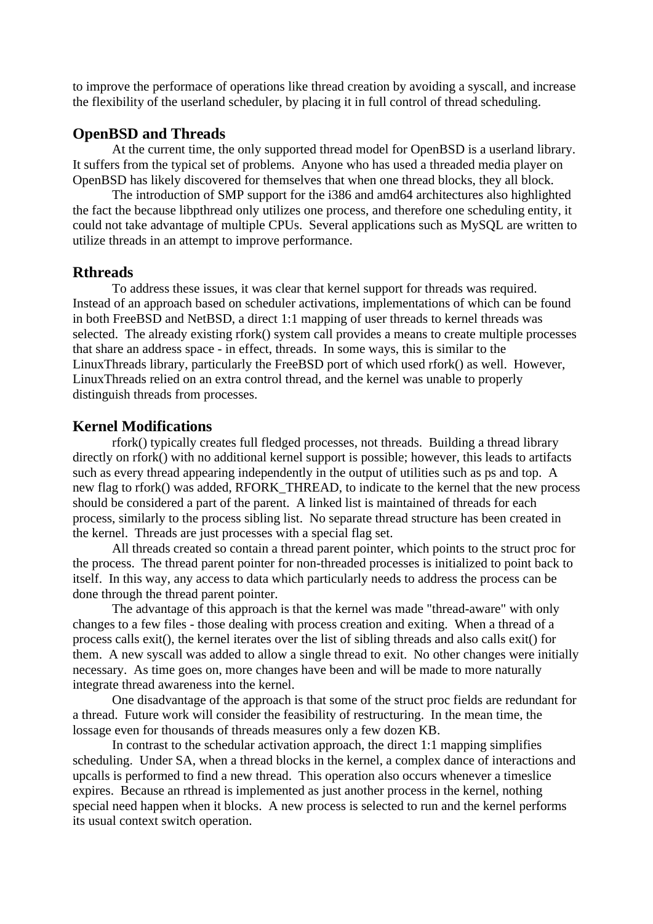to improve the performace of operations like thread creation by avoiding a syscall, and increase the flexibility of the userland scheduler, by placing it in full control of thread scheduling.

## **OpenBSD and Threads**

At the current time, the only supported thread model for OpenBSD is a userland library. It suffers from the typical set of problems. Anyone who has used a threaded media player on OpenBSD has likely discovered for themselves that when one thread blocks, they all block.

The introduction of SMP support for the i386 and amd64 architectures also highlighted the fact the because libpthread only utilizes one process, and therefore one scheduling entity, it could not take advantage of multiple CPUs. Several applications such as MySQL are written to utilize threads in an attempt to improve performance.

#### **Rthreads**

To address these issues, it was clear that kernel support for threads was required. Instead of an approach based on scheduler activations, implementations of which can be found in both FreeBSD and NetBSD, a direct 1:1 mapping of user threads to kernel threads was selected. The already existing rfork() system call provides a means to create multiple processes that share an address space - in effect, threads. In some ways, this is similar to the LinuxThreads library, particularly the FreeBSD port of which used rfork() as well. However, LinuxThreads relied on an extra control thread, and the kernel was unable to properly distinguish threads from processes.

#### **Kernel Modifications**

rfork() typically creates full fledged processes, not threads. Building a thread library directly on rfork() with no additional kernel support is possible; however, this leads to artifacts such as every thread appearing independently in the output of utilities such as ps and top. A new flag to rfork() was added, RFORK\_THREAD, to indicate to the kernel that the new process should be considered a part of the parent. A linked list is maintained of threads for each process, similarly to the process sibling list. No separate thread structure has been created in the kernel. Threads are just processes with a special flag set.

All threads created so contain a thread parent pointer, which points to the struct proc for the process. The thread parent pointer for non-threaded processes is initialized to point back to itself. In this way, any access to data which particularly needs to address the process can be done through the thread parent pointer.

The advantage of this approach is that the kernel was made "thread-aware" with only changes to a few files - those dealing with process creation and exiting. When a thread of a process calls exit(), the kernel iterates over the list of sibling threads and also calls exit() for them. A new syscall was added to allow a single thread to exit. No other changes were initially necessary. As time goes on, more changes have been and will be made to more naturally integrate thread awareness into the kernel.

One disadvantage of the approach is that some of the struct proc fields are redundant for a thread. Future work will consider the feasibility of restructuring. In the mean time, the lossage even for thousands of threads measures only a few dozen KB.

In contrast to the schedular activation approach, the direct 1:1 mapping simplifies scheduling. Under SA, when a thread blocks in the kernel, a complex dance of interactions and upcalls is performed to find a new thread. This operation also occurs whenever a timeslice expires. Because an rthread is implemented as just another process in the kernel, nothing special need happen when it blocks. A new process is selected to run and the kernel performs its usual context switch operation.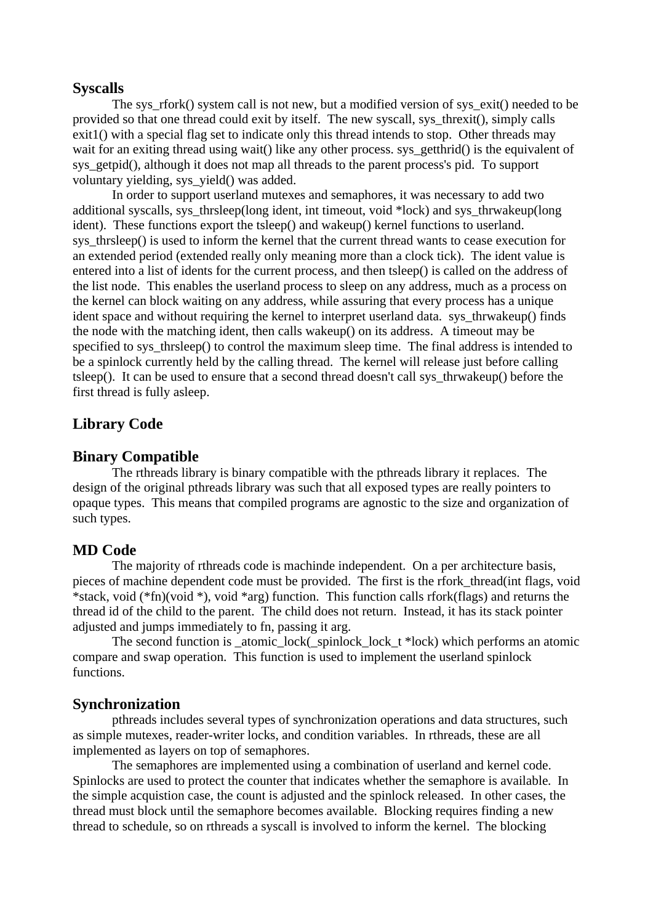#### **Syscalls**

The sys rfork() system call is not new, but a modified version of sys exit() needed to be provided so that one thread could exit by itself. The new syscall, sys\_threxit(), simply calls exit1() with a special flag set to indicate only this thread intends to stop. Other threads may wait for an exiting thread using wait() like any other process. sys\_getthrid() is the equivalent of sys\_getpid(), although it does not map all threads to the parent process's pid. To support voluntary yielding, sys\_yield() was added.

In order to support userland mutexes and semaphores, it was necessary to add two additional syscalls, sys\_thrsleep(long ident, int timeout, void \*lock) and sys\_thrwakeup(long ident). These functions export the tsleep() and wakeup() kernel functions to userland. sys thrsleep() is used to inform the kernel that the current thread wants to cease execution for an extended period (extended really only meaning more than a clock tick). The ident value is entered into a list of idents for the current process, and then tsleep() is called on the address of the list node. This enables the userland process to sleep on any address, much as a process on the kernel can block waiting on any address, while assuring that every process has a unique ident space and without requiring the kernel to interpret userland data. sys\_thrwakeup() finds the node with the matching ident, then calls wakeup() on its address. A timeout may be specified to sys\_thrsleep() to control the maximum sleep time. The final address is intended to be a spinlock currently held by the calling thread. The kernel will release just before calling tsleep(). It can be used to ensure that a second thread doesn't call sys\_thrwakeup() before the first thread is fully asleep.

## **Library Code**

## **Binary Compatible**

The rthreads library is binary compatible with the pthreads library it replaces. The design of the original pthreads library was such that all exposed types are really pointers to opaque types. This means that compiled programs are agnostic to the size and organization of such types.

## **MD Code**

The majority of rthreads code is machinde independent. On a per architecture basis, pieces of machine dependent code must be provided. The first is the rfork\_thread(int flags, void \*stack, void (\*fn)(void \*), void \*arg) function. This function calls rfork(flags) and returns the thread id of the child to the parent. The child does not return. Instead, it has its stack pointer adjusted and jumps immediately to fn, passing it arg.

The second function is atomic lock( spinlock lock  $t *$ lock) which performs an atomic compare and swap operation. This function is used to implement the userland spinlock functions.

#### **Synchronization**

pthreads includes several types of synchronization operations and data structures, such as simple mutexes, reader-writer locks, and condition variables. In rthreads, these are all implemented as layers on top of semaphores.

The semaphores are implemented using a combination of userland and kernel code. Spinlocks are used to protect the counter that indicates whether the semaphore is available. In the simple acquistion case, the count is adjusted and the spinlock released. In other cases, the thread must block until the semaphore becomes available. Blocking requires finding a new thread to schedule, so on rthreads a syscall is involved to inform the kernel. The blocking